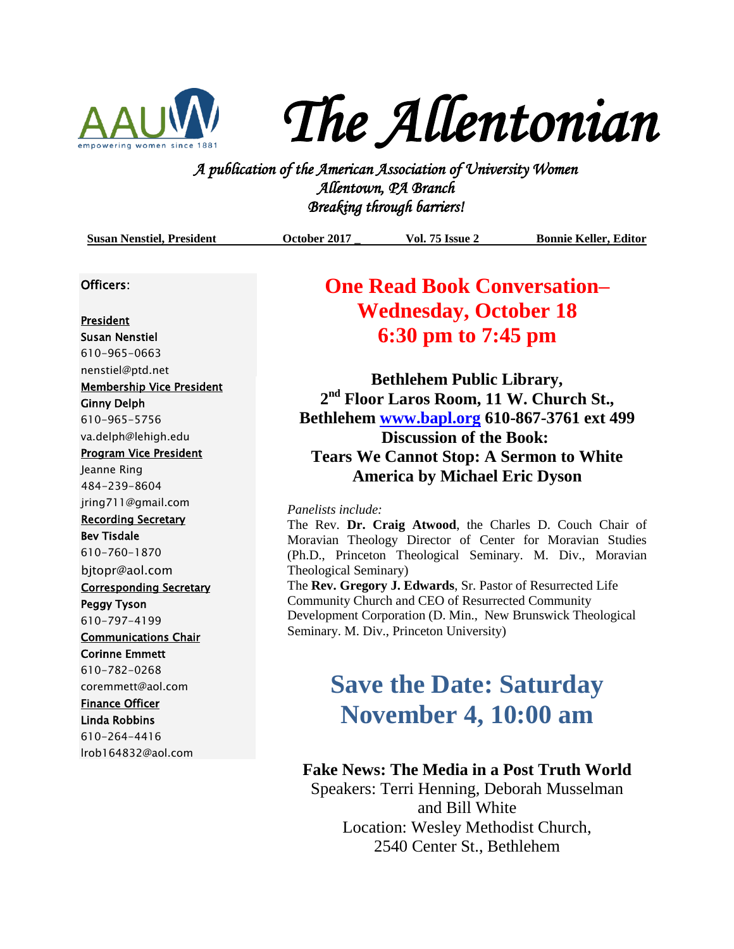

*The Allentonian* 

**A PUC FLUC I LUC 160 I LIC**<br>*A publication of the American Association of University Women*<br><sup>2</sup> *A publication of the American Association of University Women Allentown, PA Branch Breaking through barriers!* 

|  | <b>Susan Nenstiel, President</b> | October 2017 | <b>Vol. 75 Issue 2</b> | <b>Bonnie Keller, Editor</b> |
|--|----------------------------------|--------------|------------------------|------------------------------|
|--|----------------------------------|--------------|------------------------|------------------------------|

#### Officers:

President Susan Nenstiel 610-965-0663 [nenstiel@ptd.net](mailto:nenstiel@ptd.net) Membership Vice President Ginny Delph 610-965-5756 va.delph@lehigh.edu Program Vice President Jeanne Ring 484-239-8604 jring711@gmail.com Recording Secretary Bev Tisdale 610-760-1870 bjtopr@aol.com Corresponding Secretary Peggy Tyson 610-797-4199 Communications Chair Corinne Emmett 610-782-0268 coremmett@aol.com Finance Officer Linda Robbins 610-264-4416 lrob164832@aol.com

### **One Read Book Conversation– Wednesday, October 18 6:30 pm to 7:45 pm**

**Bethlehem Public Library, 2 nd Floor Laros Room, 11 W. Church St., Bethlehem [www.bapl.org](http://www.bapl.org/) 610-867-3761 ext 499 Discussion of the Book: Tears We Cannot Stop: A Sermon to White America by Michael Eric Dyson**

### *Panelists include:*

The Rev. **Dr. Craig Atwood**, the Charles D. Couch Chair of Moravian Theology Director of Center for Moravian Studies (Ph.D., Princeton Theological Seminary. M. Div., Moravian Theological Seminary)

The **Rev. Gregory J. Edwards**, Sr. Pastor of Resurrected Life Community Church and CEO of Resurrected Community Development Corporation (D. Min., New Brunswick Theological Seminary. M. Div., Princeton University)

# **Save the Date: Saturday November 4, 10:00 am**

### **Fake News: The Media in a Post Truth World**

Speakers: Terri Henning, Deborah Musselman and Bill White Location: Wesley Methodist Church, 2540 Center St., Bethlehem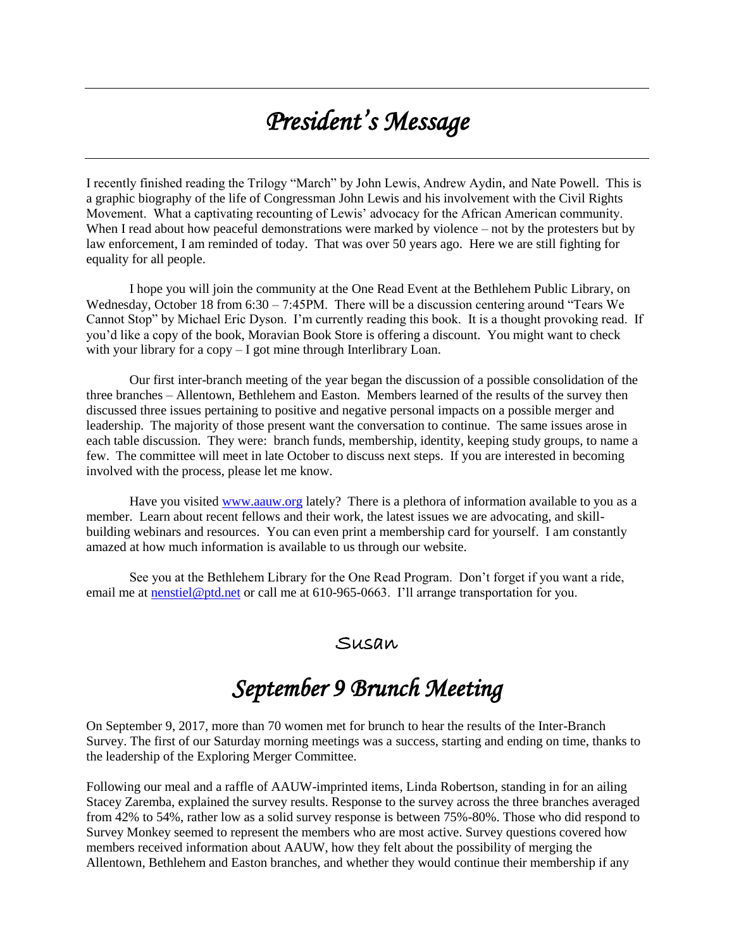# *President's Message*

I recently finished reading the Trilogy "March" by John Lewis, Andrew Aydin, and Nate Powell. This is a graphic biography of the life of Congressman John Lewis and his involvement with the Civil Rights Movement. What a captivating recounting of Lewis' advocacy for the African American community. When I read about how peaceful demonstrations were marked by violence – not by the protesters but by law enforcement, I am reminded of today. That was over 50 years ago. Here we are still fighting for equality for all people.

I hope you will join the community at the One Read Event at the Bethlehem Public Library, on Wednesday, October 18 from  $6:30 - 7:45$  PM. There will be a discussion centering around "Tears We Cannot Stop" by Michael Eric Dyson. I'm currently reading this book. It is a thought provoking read. If you'd like a copy of the book, Moravian Book Store is offering a discount. You might want to check with your library for a copy – I got mine through Interlibrary Loan.

Our first inter-branch meeting of the year began the discussion of a possible consolidation of the three branches – Allentown, Bethlehem and Easton. Members learned of the results of the survey then discussed three issues pertaining to positive and negative personal impacts on a possible merger and leadership. The majority of those present want the conversation to continue. The same issues arose in each table discussion. They were: branch funds, membership, identity, keeping study groups, to name a few. The committee will meet in late October to discuss next steps. If you are interested in becoming involved with the process, please let me know.

Have you visited [www.aauw.org](http://www.aauw.org/) lately? There is a plethora of information available to you as a member. Learn about recent fellows and their work, the latest issues we are advocating, and skillbuilding webinars and resources. You can even print a membership card for yourself. I am constantly amazed at how much information is available to us through our website.

See you at the Bethlehem Library for the One Read Program. Don't forget if you want a ride, email me at **nenstiel@ptd.net** or call me at 610-965-0663. I'll arrange transportation for you.

### Susan

## *September 9 Brunch Meeting*

On September 9, 2017, more than 70 women met for brunch to hear the results of the Inter-Branch Survey. The first of our Saturday morning meetings was a success, starting and ending on time, thanks to the leadership of the Exploring Merger Committee.

Following our meal and a raffle of AAUW-imprinted items, Linda Robertson, standing in for an ailing Stacey Zaremba, explained the survey results. Response to the survey across the three branches averaged from 42% to 54%, rather low as a solid survey response is between 75%-80%. Those who did respond to Survey Monkey seemed to represent the members who are most active. Survey questions covered how members received information about AAUW, how they felt about the possibility of merging the Allentown, Bethlehem and Easton branches, and whether they would continue their membership if any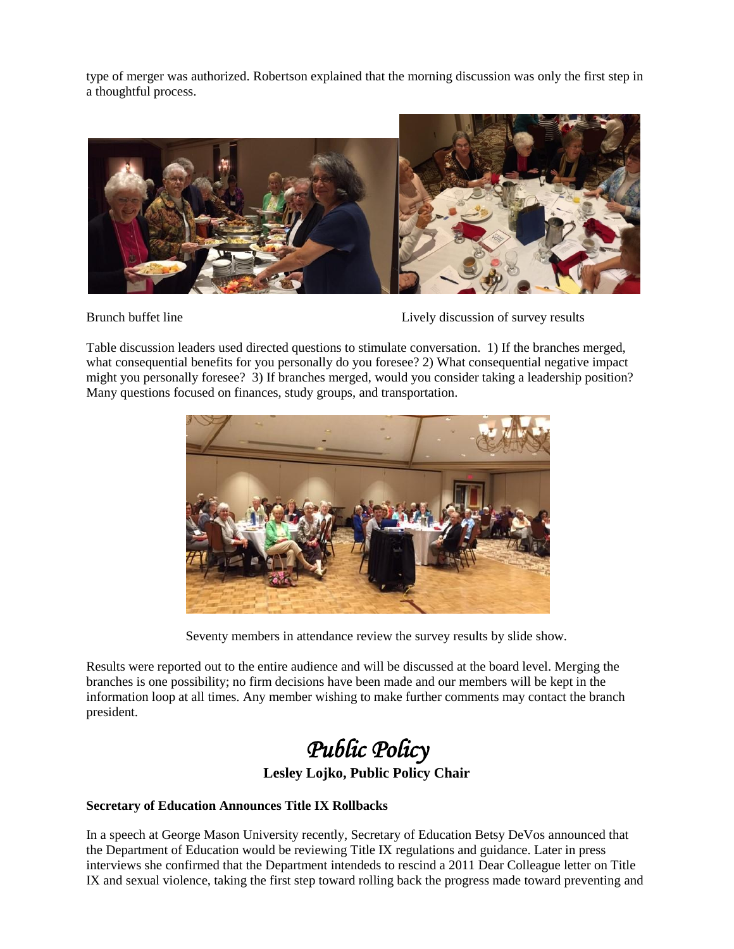type of merger was authorized. Robertson explained that the morning discussion was only the first step in a thoughtful process.



Brunch buffet line Lively discussion of survey results

Table discussion leaders used directed questions to stimulate conversation. 1) If the branches merged, what consequential benefits for you personally do you foresee? 2) What consequential negative impact might you personally foresee? 3) If branches merged, would you consider taking a leadership position? Many questions focused on finances, study groups, and transportation.



Seventy members in attendance review the survey results by slide show.

Results were reported out to the entire audience and will be discussed at the board level. Merging the branches is one possibility; no firm decisions have been made and our members will be kept in the information loop at all times. Any member wishing to make further comments may contact the branch president.

# *Public Policy*

**Lesley Lojko, Public Policy Chair**

### **Secretary of Education Announces Title IX Rollbacks**

In a speech at George Mason University recently, Secretary of Education Betsy DeVos [announced](http://salsa4.salsalabs.com/dia/track.jsp?v=2&c=Phf9X2ZffUU7uWt71c1B6c2TsGvXDlvQ) that the Department of Education would be reviewing [Title IX](http://salsa4.salsalabs.com/dia/track.jsp?v=2&c=5dlT%2FirY%2FqUFH2xdFJHM9afIvVp%2BU1Ju) regulations and guidance. Later in press interviews she confirmed that the Department intendeds to rescind a 2011 Dear Colleague letter on Title IX and sexual violence, taking the first step toward rolling back the progress made toward preventing and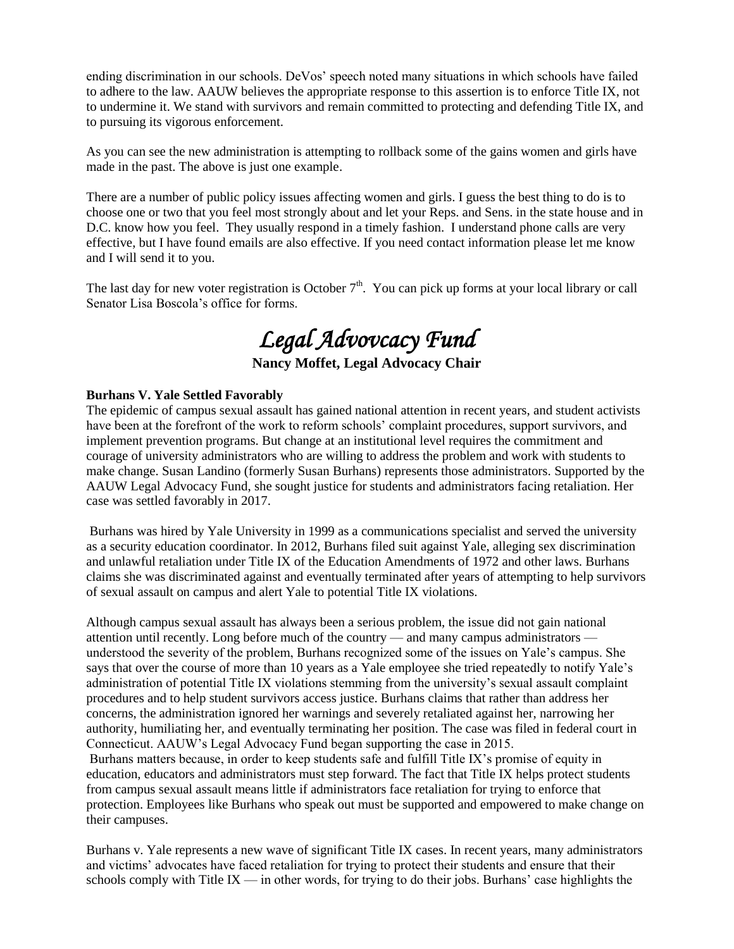ending discrimination in our schools. DeVos' speech noted many situations in which schools have failed to adhere to the law. AAUW believes the appropriate response to this assertion is to enforce Title IX, not to undermine it. W[e stand with survivors](http://salsa4.salsalabs.com/dia/track.jsp?v=2&c=PE9tMc5Eu%2BJcFWdQFkygeafIvVp%2BU1Ju) and remain committed to protecting and defending Title IX, and to pursuing its vigorous enforcement.

As you can see the new administration is attempting to rollback some of the gains women and girls have made in the past. The above is just one example.

There are a number of public policy issues affecting women and girls. I guess the best thing to do is to choose one or two that you feel most strongly about and let your Reps. and Sens. in the state house and in D.C. know how you feel. They usually respond in a timely fashion. I understand phone calls are very effective, but I have found emails are also effective. If you need contact information please let me know and I will send it to you.

The last day for new voter registration is October  $7<sup>th</sup>$ . You can pick up forms at your local library or call Senator Lisa Boscola's office for forms.

# *Legal Advovcacy Fund*

**Nancy Moffet, Legal Advocacy Chair**

#### **Burhans V. Yale Settled Favorably**

The epidemic of campus sexual assault has gained national attention in recent years, and student activists have been at the forefront of the work to reform schools' complaint procedures, support survivors, and implement prevention programs. But change at an institutional level requires the commitment and courage of university administrators who are willing to address the problem and work with students to make change. Susan Landino (formerly Susan Burhans) represents those administrators. Supported by the AAUW Legal Advocacy Fund, she sought justice for students and administrators facing retaliation. Her case was settled favorably in 2017.

Burhans was hired by Yale University in 1999 as a communications specialist and served the university as a security education coordinator. In 2012, Burhans filed suit against Yale, alleging sex discrimination and unlawful retaliation under Title IX of the Education Amendments of 1972 and other laws. Burhans claims she was discriminated against and eventually terminated after years of attempting to help survivors of sexual assault on campus and alert Yale to potential Title IX violations.

Although campus sexual assault has always been a serious problem, the issue did not gain national attention until recently. Long before much of the country — and many campus administrators understood the severity of the problem, Burhans recognized some of the issues on Yale's campus. She says that over the course of more than 10 years as a Yale employee she tried repeatedly to notify Yale's administration of potential Title IX violations stemming from the university's sexual assault complaint procedures and to help student survivors access justice. Burhans claims that rather than address her concerns, the administration ignored her warnings and severely retaliated against her, narrowing her authority, humiliating her, and eventually terminating her position. The case was filed in federal court in Connecticut. AAUW's Legal Advocacy Fund began supporting the case in 2015.

Burhans matters because, in order to keep students safe and fulfill Title IX's promise of equity in education, educators and administrators must step forward. The fact that Title IX helps protect students from campus sexual assault means little if administrators face retaliation for trying to enforce that protection. Employees like Burhans who speak out must be supported and empowered to make change on their campuses.

Burhans v. Yale represents a new wave of significant Title IX cases. In recent years, many administrators and victims' advocates have faced retaliation for trying to protect their students and ensure that their schools comply with Title IX — in other words, for trying to do their jobs. Burhans' case highlights the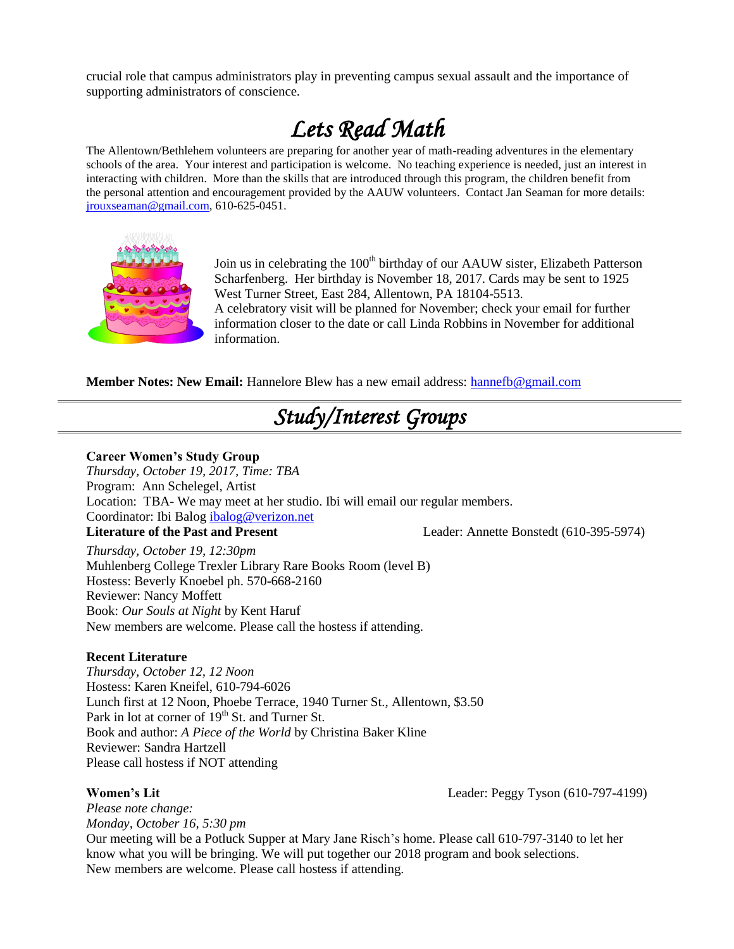crucial role that campus administrators play in preventing campus sexual assault and the importance of supporting administrators of conscience.

# *Lets Read Math*

The Allentown/Bethlehem volunteers are preparing for another year of math-reading adventures in the elementary schools of the area. Your interest and participation is welcome. No teaching experience is needed, just an interest in interacting with children. More than the skills that are introduced through this program, the children benefit from the personal attention and encouragement provided by the AAUW volunteers. Contact Jan Seaman for more details: [jrouxseaman@gmail.com,](mailto:jrouxseaman@gmail.com) 610-625-0451.



Join us in celebrating the 100<sup>th</sup> birthday of our AAUW sister, Elizabeth Patterson Scharfenberg. Her birthday is November 18, 2017. Cards may be sent to 1925 West Turner Street, East 284, Allentown, PA 18104-5513. A celebratory visit will be planned for November; check your email for further information closer to the date or call Linda Robbins in November for additional information.

**Member Notes: New Email:** Hannelore Blew has a new email address: [hannefb@gmail.com](mailto:hannefb@gmail.com)

# *Study/Interest Groups*

#### **Career Women's Study Group**

*Thursday, October 19, 2017, Time: TBA* Program: Ann Schelegel, Artist Location: TBA- We may meet at her studio. Ibi will email our regular members. Coordinator: Ibi Balog [ibalog@verizon.net](mailto:ibalog@verizon.net) **Literature of the Past and Present** Leader: Annette Bonstedt (610-395-5974)

*Thursday, October 19, 12:30pm* Muhlenberg College Trexler Library Rare Books Room (level B) Hostess: Beverly Knoebel ph. 570-668-2160 Reviewer: Nancy Moffett Book: *Our Souls at Night* by Kent Haruf New members are welcome. Please call the hostess if attending.

### **Recent Literature**

*Thursday, October 12, 12 Noon* Hostess: Karen Kneifel, 610-794-6026 Lunch first at 12 Noon, Phoebe Terrace, 1940 Turner St., Allentown, \$3.50 Park in lot at corner of 19<sup>th</sup> St. and Turner St. Book and author: *A Piece of the World* by Christina Baker Kline Reviewer: Sandra Hartzell Please call hostess if NOT attending

### **Women's Lit** Leader: Peggy Tyson (610-797-4199)

*Please note change: Monday, October 16, 5:30 pm* Our meeting will be a Potluck Supper at Mary Jane Risch's home. Please call 610-797-3140 to let her know what you will be bringing. We will put together our 2018 program and book selections. New members are welcome. Please call hostess if attending.